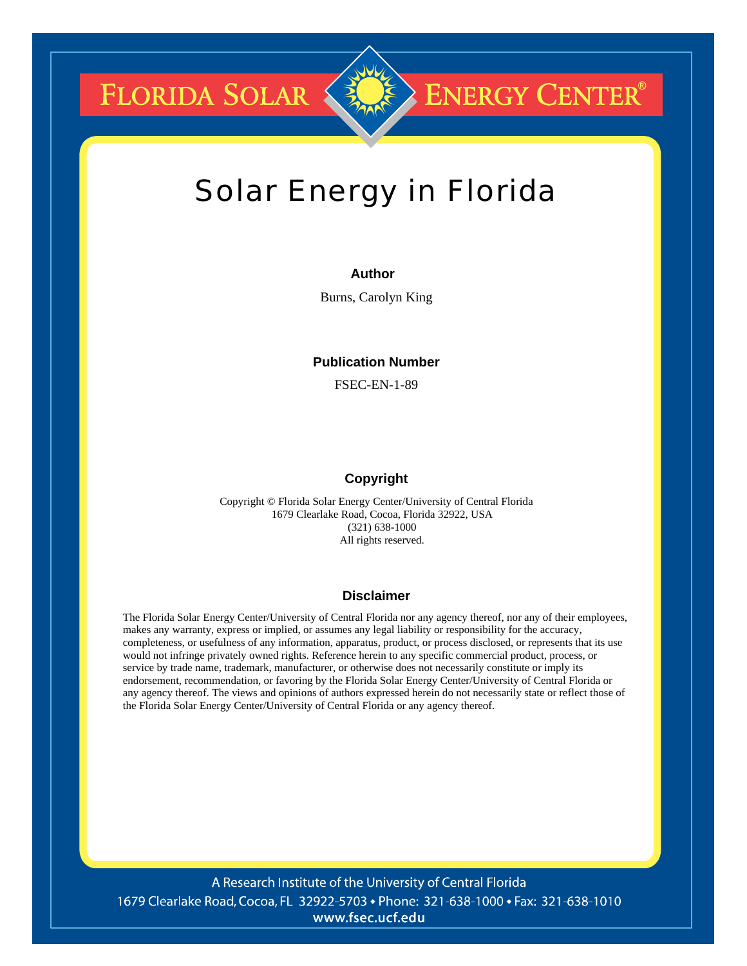**FLORIDA SOLAR &** 

# **ENERGY CENTER®**

# Solar Energy in Florida

# **Author**

Burns, Carolyn King

# **Publication Number**

FSEC-EN-1-89

# **Copyright**

Copyright © Florida Solar Energy Center/University of Central Florida 1679 Clearlake Road, Cocoa, Florida 32922, USA (321) 638-1000 All rights reserved.

#### **Disclaimer**

The Florida Solar Energy Center/University of Central Florida nor any agency thereof, nor any of their employees, makes any warranty, express or implied, or assumes any legal liability or responsibility for the accuracy, completeness, or usefulness of any information, apparatus, product, or process disclosed, or represents that its use would not infringe privately owned rights. Reference herein to any specific commercial product, process, or service by trade name, trademark, manufacturer, or otherwise does not necessarily constitute or imply its endorsement, recommendation, or favoring by the Florida Solar Energy Center/University of Central Florida or any agency thereof. The views and opinions of authors expressed herein do not necessarily state or reflect those of the Florida Solar Energy Center/University of Central Florida or any agency thereof.

A Research Institute of the University of Central Florida 1679 Clearlake Road, Cocoa, FL 32922-5703 • Phone: 321-638-1000 • Fax: 321-638-1010 www.fsec.ucf.edu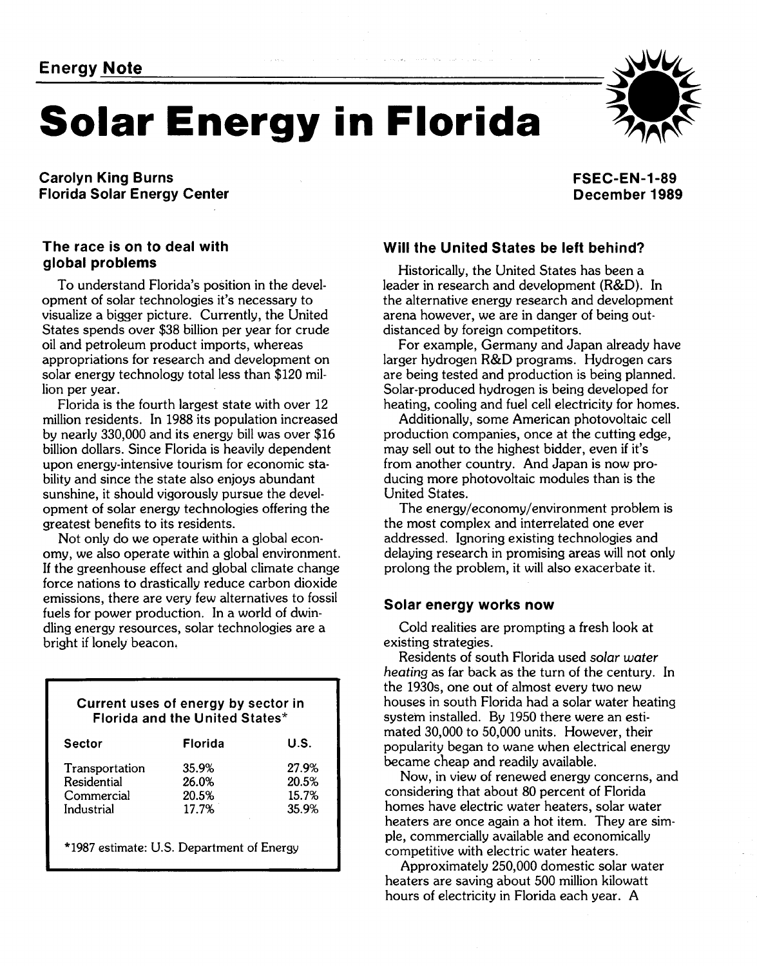# **Energy <u>Note</u> 2002 Solar Energy in Florida**

**Carolyn King Burns Florida Solar Energy Center**  **FSEC-EN-1-89 December 1989** 

# **The race is on to deal with global problems**

To understand Florida's position in the development of solar technologies it's necessary to visualize a bigger picture. Currently, the United States spends over \$38 billion per year for crude oil and petroleum product imports, whereas appropriations for research and development on solar energy technology total less than \$120 million per year.

Florida is the fourth largest state with over 12 million residents. In 1988 its population increased by nearly 330,000 and its energy bill was over \$16 billion dollars. Since Florida is heavily dependent upon energy-intensive tourism for economic stability and since the state also enjoys abundant sunshine, it should vigorously pursue the development of solar energy technologies offering the greatest benefits to its residents.

Not only do we operate within a global economy, we also operate within a global environment. If the greenhouse effect and global climate change force nations to drastically reduce carbon dioxide emissions, there are very few alternatives to fossil fuels for power production. In a world of dwindling energy resources, solar technologies are a bright if lonely beacon,

# **Current uses of energy by sector in Florida and the United States\***

| Sector                                                    | Florida                          | U.S.                             |
|-----------------------------------------------------------|----------------------------------|----------------------------------|
| Transportation<br>Residential<br>Commercial<br>Industrial | 35.9%<br>26.0%<br>20.5%<br>17.7% | 27.9%<br>20.5%<br>15.7%<br>35.9% |
| *1987 estimate: U.S. Department of Energy                 |                                  |                                  |

**L** 

# **Will the United States be left behind?**

Historically, the United States has been a leader in research and development (R&D). In the alternative energy research and development arena however, we are in danger of being outdistanced by foreign competitors.

For example, Germany and Japan already have larger hydrogen R&D programs. Hydrogen cars are being tested and production is being planned. Solar-produced hydrogen is being developed for heating, cooling and fuel cell electricity for homes.

Additionally, some American photovoltaic cell production companies, once at the cutting edge, may sell out to the highest bidder, even if it's from another country. And Japan is now producing more photovoltaic modules than is the United States.

The energy/economy/environment problem is the most complex and interrelated one ever addressed. Ignoring existing technologies and delaying research in promising areas will not only prolong the problem, it will also exacerbate it.

## **Solar energy works now**

Cold realities are prompting a fresh look at existing strategies.

Residents of south Florida used solar water heating as far back as the turn of the century. In the 1930s, one out of almost every two new houses in south Florida had a solar water heating system installed. By 1950 there were an estimated 30,000 to 50,000 units. However, their popularity began to wane when electrical energy became cheap and readily available.

Now, in view of renewed energy concerns, and considering that about 80 percent of Florida homes have electric water heaters, solar water heaters are once again a hot item. They are simple, commercially available and economically competitive with electric water heaters.

Approximately 250,000 domestic solar water heaters are saving about 500 million kilowatt hours of electricity in Florida each year. A

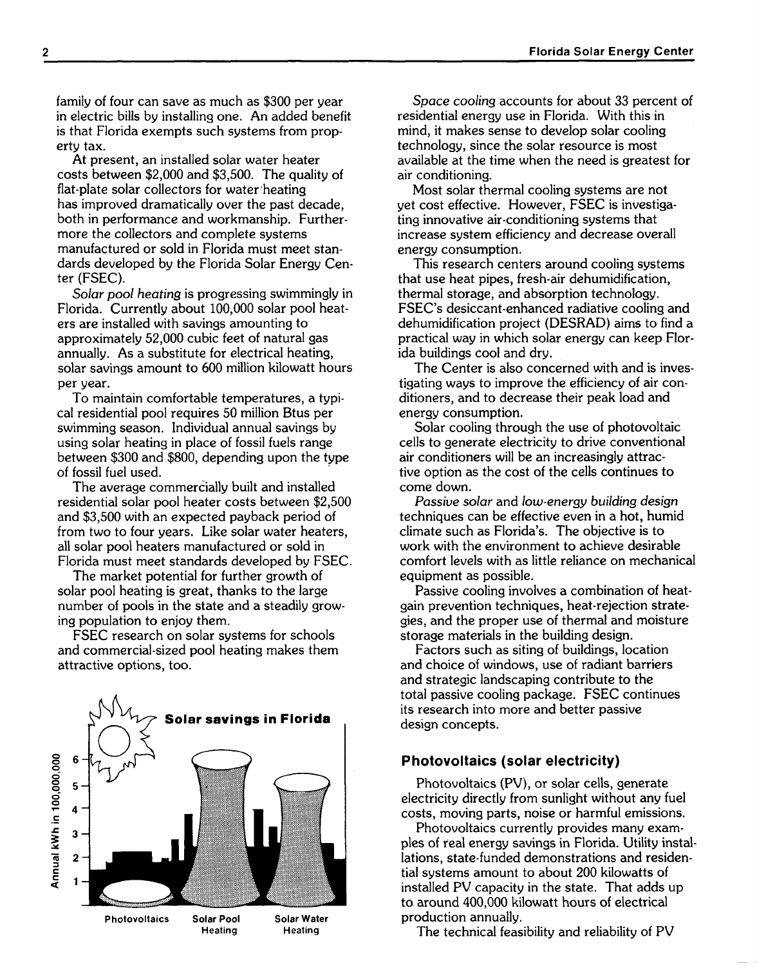family of four can save as much as \$300 per year in electric bills by installing one. An added benefit is that Florida exempts such systems from property tax.

At present, an installed solar water heater costs between \$2,000 and \$3,500. The quality of flat-plate solar collectors for water heating has improved dramatically over the past decade, both in performance and workmanship. Furthermore the collectors and complete systems manufactured or sold in Florida must meet standards developed by the Florida Solar Energy Center (FSEC).

Solar pool heating is progressing swimmingly in Florida. Currently about 100,000 solar pool heaters are installed with savings amounting to approximately 52,000 cubic feet of natural gas annually. As a substitute for electrical heating, solar savings amount to 600 million kilowatt hours per year.

To maintain comfortable temperatures, a typical residential pool requires 50 million Btus per swimming season. Individual annual savings by using solar heating in place of fossil fuels range between \$300 and \$800, depending upon the type of fossil fuel used.

The average commercially built and installed residential solar pool heater costs between \$2,500 and \$3,500 with an expected payback period of from two to four years. Like solar water heaters, all solar pool heaters manufactured or sold in Florida must meet standards developed by FSEC.

The market potential for further growth of solar pool heating is great, thanks to the large number of pools in the state and a steadily growing population to enjoy them.

FSEC research on solar systems for schools and commercial-sized pool heating makes them attractive options, too.



Space cooling accounts for about 33 percent of residential energy use in Florida. With this in mind, it makes sense to develop solar cooling technology, since the solar resource is most available at the time when the need is greatest for air conditioning.

Most solar thermal cooling systems are not yet cost effective. However, FSEC is investigating innovative air-conditioning systems that increase system efficiency and decrease overall energy consumption.

This research centers around cooling systems that use heat pipes, fresh-air dehumidification, thermal storage, and absorption technology. FSEC's desiccant-enhanced radiative cooling and dehumidification project (DESRAD) aims to find a practical way in which solar energy can keep Florida buildings cool and dry.

The Center is also concerned with and is investigating ways to improve the efficiency of air conditioners, and to decrease their peak load and energy consumption.

Solar cooling through the use of photovoltaic cells to generate electricity to drive conventional air conditioners will be an increasingly attractive option as the cost of the cells continues to come down.

Passive solar and low-energy building design techniques can be effective even in a hot, humid climate such as Florida's. The objective is to work with the environment to achieve desirable comfort levels with as little reliance on mechanical equipment as possible.

Passive cooling involves a combination of heatgain prevention techniques, heat-rejection strategies, and the proper use of thermal and moisture storage materials in the building design.

Factors such as siting of buildings, location and choice of windows, use of radiant barriers and strategic landscaping contribute to the total passive cooling package. FSEC continues its research into more and better passive design concepts.

## **Photovoltaics (solar electricity)**

Photovoltaics (PV), or solar cells, generate electricity directly from sunlight without any fuel costs, moving parts, noise or harmful emissions.

Photovoltaics currently provides many examples of real energy savings in Florida. Utility installations, state-funded demonstrations and residential systems amount to about 200 kilowatts of installed PV capacity in the state. That adds up to around 400,000 kilowatt hours of electrical production annually.

The technical feasibility and reliability of PV

 $\overline{2}$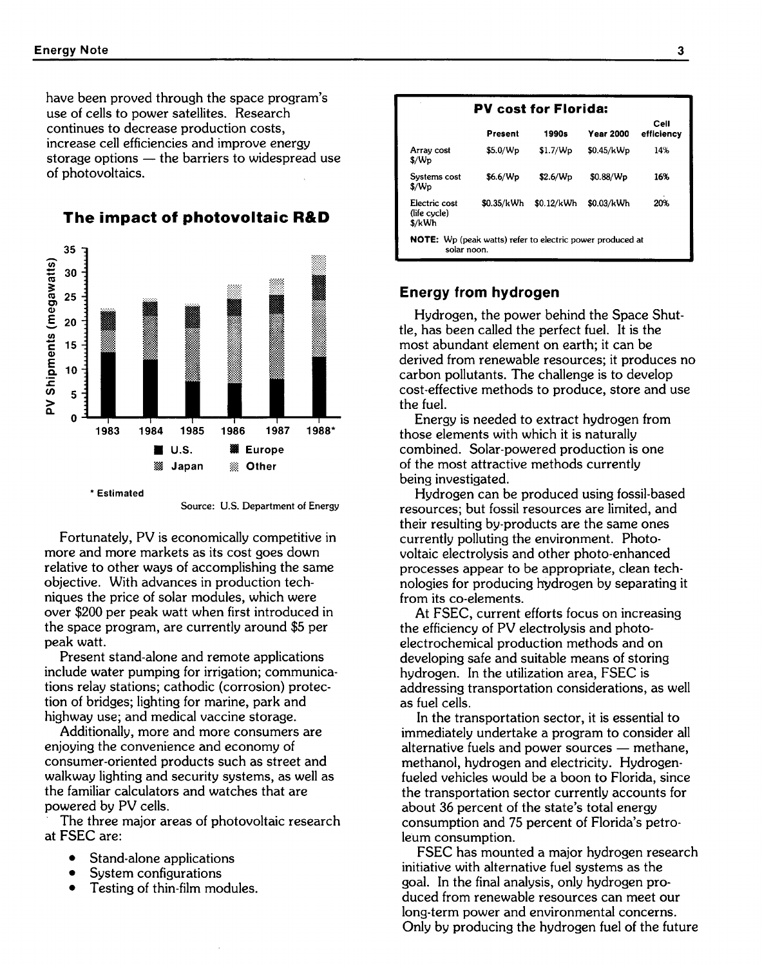have been proved through the space program's use of cells to power satellites. Research continues to decrease production costs, increase cell efficiencies and improve energy storage options  $-$  the barriers to widespread use of photovoltaics.



**The impact of photovoltaic RBD** 



Fortunately, PV is economically competitive in more and more markets as its cost goes down relative to other ways of accomplishing the same objective. With advances in production techniques the price of solar modules, which were over \$200 per peak watt when first introduced in the space program, are currently around \$5 per peak watt.

Present stand-alone and remote applications include water pumping for irrigation; communications relay stations; cathodic (corrosion) protection of bridges; lighting for marine, park and highway use; and medical vaccine storage.

Additionally, more and more consumers are enjoying the convenience and economy of consumer-oriented products such as street and walkway lighting and security systems, as well as the familiar calculators and watches that are powered by PV cells.

The three major areas of photovoltaic research at FSEC are:

- $\bullet$ Stand-alone applications
- System configurations
- Testing of thin-film modules.

| Present    | 1990s                | <b>Year 2000</b> | Cell<br>efficiency |
|------------|----------------------|------------------|--------------------|
| \$5.0/Wp   | \$1.7/Wp             | \$0.45/kWp       | 14%                |
| \$6.6/Wp   | \$2.6/W <sub>D</sub> | \$0.88/Wp        | 16%                |
| \$0.35/kWh | \$0.12/kWh           | \$0.03/kWh       | 20%                |
|            |                      |                  |                    |

# **Energy from hydrogen**

Hydrogen, the power behind the Space Shuttle, has been called the perfect fuel. It is the most abundant element on earth; it can be derived from renewable resources; it produces no carbon pollutants. The challenge is to develop cost-effective methods to produce, store and use the fuel.

Energy is needed to extract hydrogen from those elements with which it is naturally combined. Solar-powered production is one of the most attractive methods currently being investigated.

Hydrogen can be produced using fossil-based resources; but fossil resources are limited, and their resulting by-products are the same ones currently polluting the environment. Photovoltaic electrolysis and other photo-enhanced processes appear to be appropriate, clean technologies for producing hydrogen by separating it from its co-elements.

At FSEC, current efforts focus on increasing the efficiency of PV electrolysis and photoelectrochemical production methods and on developing safe and suitable means of storing hydrogen. In the utilization area, FSEC is addressing transportation considerations, as well as fuel cells.

In the transportation sector, it is essential to immediately undertake a program to consider all In the transportation sector, it is essential to<br>immediately undertake a program to consider all<br>alternative fuels and power sources — methane, methanol, hydrogen and electricity. Hydrogenfueled vehicles would be a boon to Florida, since the transportation sector currently accounts for about **36** percent of the state's total energy consumption and 75 percent of Florida's petroleum consumption.

FSEC has mounted a major hydrogen research initiative with alternative fuel systems as the goal. In the final analysis, only hydrogen produced from renewable resources can meet our long-term power and environmental concerns. Only by producing the hydrogen fuel of the future